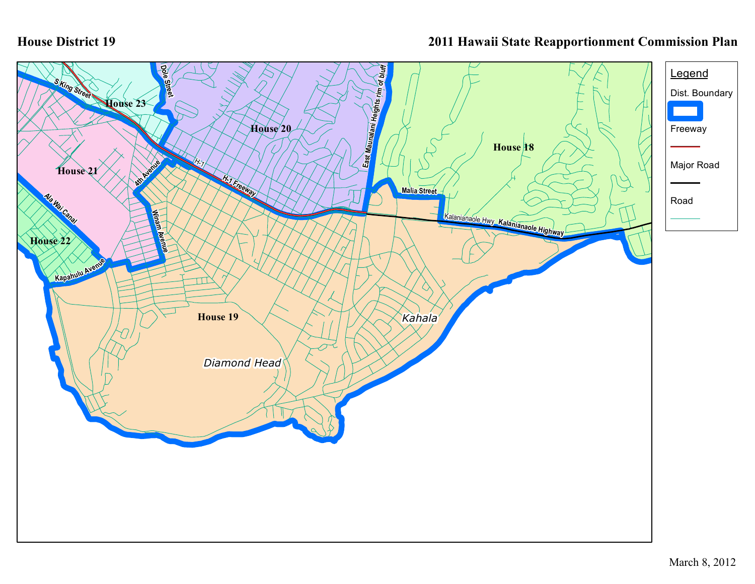## **House District 19**

## **2011 Hawaii State Reapportionment Commission Plan**